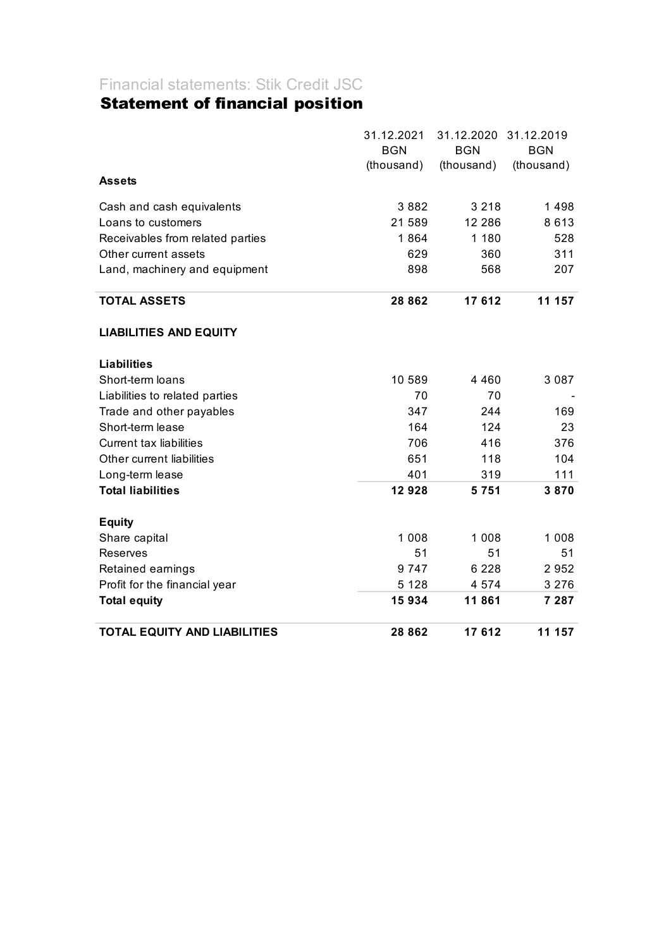# Financial statements: Stik Credit JSC

## Statement of financial position

|                                     | 31.12.2021<br><b>BGN</b> | 31.12.2020<br><b>BGN</b> | 31.12.2019<br><b>BGN</b> |
|-------------------------------------|--------------------------|--------------------------|--------------------------|
|                                     | (thousand)               | (thousand)               | (thousand)               |
| <b>Assets</b>                       |                          |                          |                          |
| Cash and cash equivalents           | 3882                     | 3 2 1 8                  | 1498                     |
| Loans to customers                  | 21 589                   | 12 2 8 6                 | 8613                     |
| Receivables from related parties    | 1864                     | 1 180                    | 528                      |
| Other current assets                | 629                      | 360                      | 311                      |
| Land, machinery and equipment       | 898                      | 568                      | 207                      |
| <b>TOTAL ASSETS</b>                 | 28 862                   | 17612                    | 11 157                   |
| <b>LIABILITIES AND EQUITY</b>       |                          |                          |                          |
| <b>Liabilities</b>                  |                          |                          |                          |
| Short-term loans                    | 10 589                   | 4 4 6 0                  | 3 0 8 7                  |
| Liabilities to related parties      | 70                       | 70                       |                          |
| Trade and other payables            | 347                      | 244                      | 169                      |
| Short-term lease                    | 164                      | 124                      | 23                       |
| <b>Current tax liabilities</b>      | 706                      | 416                      | 376                      |
| Other current liabilities           | 651                      | 118                      | 104                      |
| Long-term lease                     | 401                      | 319                      | 111                      |
| <b>Total liabilities</b>            | 12928                    | 5751                     | 3870                     |
| <b>Equity</b>                       |                          |                          |                          |
| Share capital                       | 1 0 0 8                  | 1 0 0 8                  | 1 0 0 8                  |
| Reserves                            | 51                       | 51                       | 51                       |
| Retained earnings                   | 9747                     | 6 2 2 8                  | 2952                     |
| Profit for the financial year       | 5 1 2 8                  | 4 5 7 4                  | 3 2 7 6                  |
| <b>Total equity</b>                 | 15934                    | 11861                    | 7 287                    |
| <b>TOTAL EQUITY AND LIABILITIES</b> | 28 862                   | 17 612                   | 11 157                   |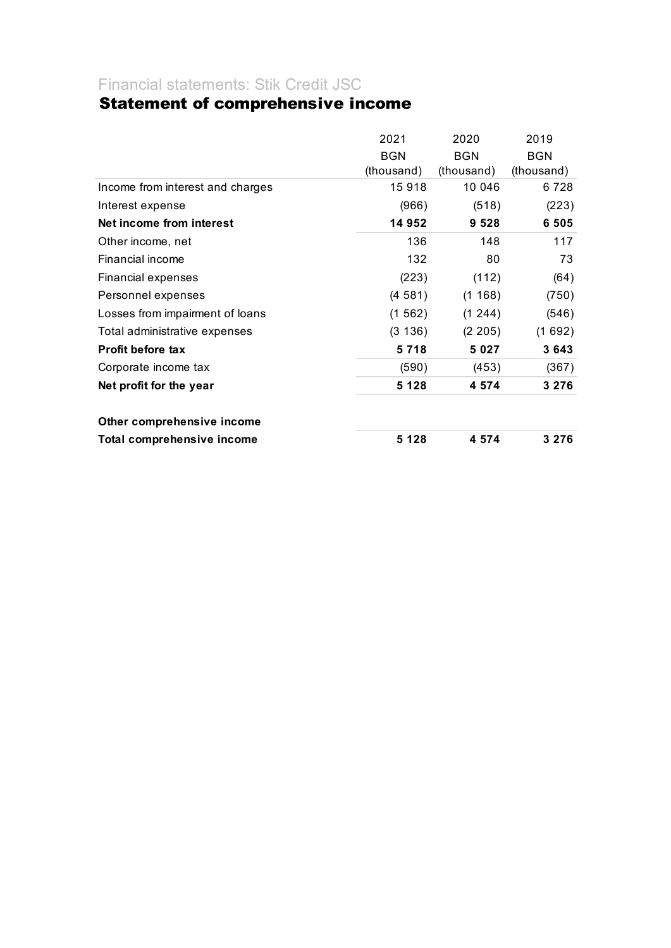#### Financial statements: Stik Credit JSC

## Statement of comprehensive income

|                                   | 2021       | 2020       | 2019       |
|-----------------------------------|------------|------------|------------|
|                                   | <b>BGN</b> | <b>BGN</b> | <b>BGN</b> |
|                                   | (thousand) | (thousand) | (thousand) |
| Income from interest and charges  | 15918      | 10 046     | 6 7 2 8    |
| Interest expense                  | (966)      | (518)      | (223)      |
| Net income from interest          | 14 952     | 9 5 2 8    | 6 5 0 5    |
| Other income, net                 | 136        | 148        | 117        |
| Financial income                  | 132        | 80         | 73         |
| Financial expenses                | (223)      | (112)      | (64)       |
| Personnel expenses                | (4581)     | (1168)     | (750)      |
| Losses from impairment of loans   | (1562)     | (1244)     | (546)      |
| Total administrative expenses     | (3 136)    | (2 205)    | (1692)     |
| <b>Profit before tax</b>          | 5718       | 5 0 2 7    | 3643       |
| Corporate income tax              | (590)      | (453)      | (367)      |
| Net profit for the year           | 5 1 2 8    | 4 5 7 4    | 3 2 7 6    |
| Other comprehensive income        |            |            |            |
| <b>Total comprehensive income</b> | 5 1 2 8    | 4 5 7 4    | 3 2 7 6    |